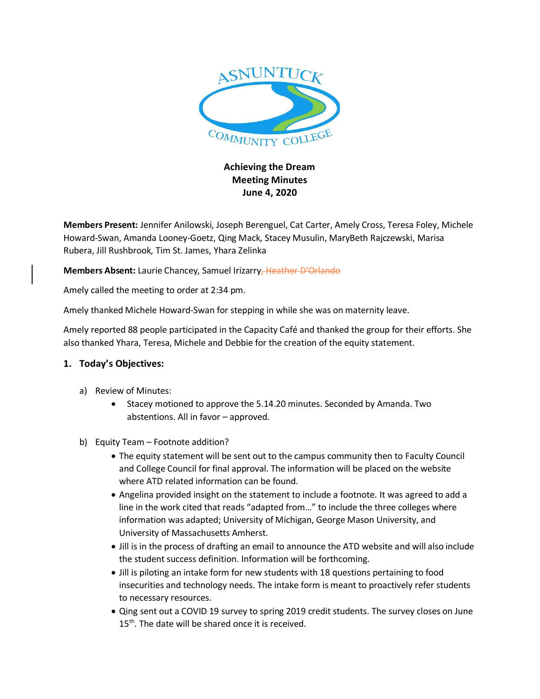

## **Achieving the Dream Meeting Minutes June 4, 2020**

**Members Present:** Jennifer Anilowski, Joseph Berenguel, Cat Carter, Amely Cross, Teresa Foley, Michele Howard-Swan, Amanda Looney-Goetz, Qing Mack, Stacey Musulin, MaryBeth Rajczewski, Marisa Rubera, Jill Rushbrook, Tim St. James, Yhara Zelinka

**Members Absent:** Laurie Chancey, Samuel Irizarry, Heather D'Orlando

Amely called the meeting to order at 2:34 pm.

Amely thanked Michele Howard-Swan for stepping in while she was on maternity leave.

Amely reported 88 people participated in the Capacity Café and thanked the group for their efforts. She also thanked Yhara, Teresa, Michele and Debbie for the creation of the equity statement.

## **1. Today's Objectives:**

- a) Review of Minutes:
	- Stacey motioned to approve the 5.14.20 minutes. Seconded by Amanda. Two abstentions. All in favor – approved.
- b) Equity Team Footnote addition?
	- The equity statement will be sent out to the campus community then to Faculty Council and College Council for final approval. The information will be placed on the website where ATD related information can be found.
	- Angelina provided insight on the statement to include a footnote. It was agreed to add a line in the work cited that reads "adapted from…" to include the three colleges where information was adapted; University of Michigan, George Mason University, and University of Massachusetts Amherst.
	- Jill is in the process of drafting an email to announce the ATD website and will also include the student success definition. Information will be forthcoming.
	- Jill is piloting an intake form for new students with 18 questions pertaining to food insecurities and technology needs. The intake form is meant to proactively refer students to necessary resources.
	- Qing sent out a COVID 19 survey to spring 2019 credit students. The survey closes on June  $15<sup>th</sup>$ . The date will be shared once it is received.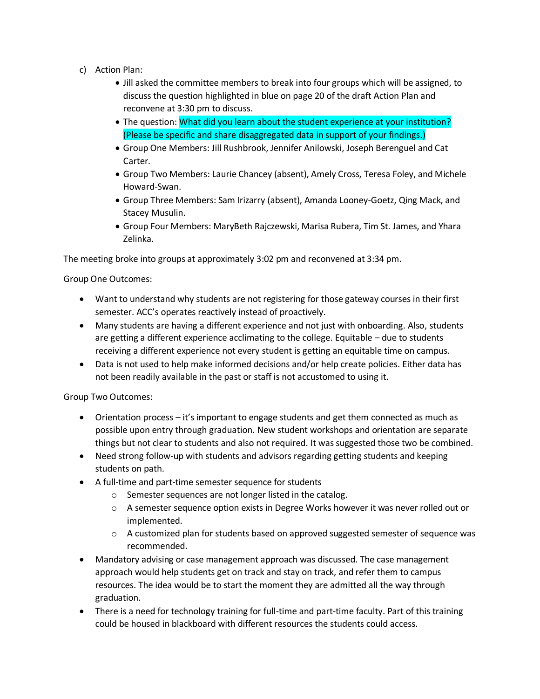- c) Action Plan:
	- Jill asked the committee members to break into four groups which will be assigned, to discuss the question highlighted in blue on page 20 of the draft Action Plan and reconvene at 3:30 pm to discuss.
	- The question: What did you learn about the student experience at your institution? (Please be specific and share disaggregated data in support of your findings.)
	- Group One Members: Jill Rushbrook, Jennifer Anilowski, Joseph Berenguel and Cat Carter.
	- Group Two Members: Laurie Chancey (absent), Amely Cross, Teresa Foley, and Michele Howard-Swan.
	- Group Three Members: Sam Irizarry (absent), Amanda Looney-Goetz, Qing Mack, and Stacey Musulin.
	- Group Four Members: MaryBeth Rajczewski, Marisa Rubera, Tim St. James, and Yhara Zelinka.

The meeting broke into groups at approximately 3:02 pm and reconvened at 3:34 pm.

Group One Outcomes:

- Want to understand why students are not registering for those gateway courses in their first semester. ACC's operates reactively instead of proactively.
- Many students are having a different experience and not just with onboarding. Also, students are getting a different experience acclimating to the college. Equitable – due to students receiving a different experience not every student is getting an equitable time on campus.
- Data is not used to help make informed decisions and/or help create policies. Either data has not been readily available in the past or staff is not accustomed to using it.

Group Two Outcomes:

- Orientation process it's important to engage students and get them connected as much as possible upon entry through graduation. New student workshops and orientation are separate things but not clear to students and also not required. It was suggested those two be combined.
- Need strong follow-up with students and advisors regarding getting students and keeping students on path.
- A full-time and part-time semester sequence for students
	- o Semester sequences are not longer listed in the catalog.
	- o A semester sequence option exists in Degree Works however it was never rolled out or implemented.
	- $\circ$  A customized plan for students based on approved suggested semester of sequence was recommended.
- Mandatory advising or case management approach was discussed. The case management approach would help students get on track and stay on track, and refer them to campus resources. The idea would be to start the moment they are admitted all the way through graduation.
- There is a need for technology training for full-time and part-time faculty. Part of this training could be housed in blackboard with different resources the students could access.